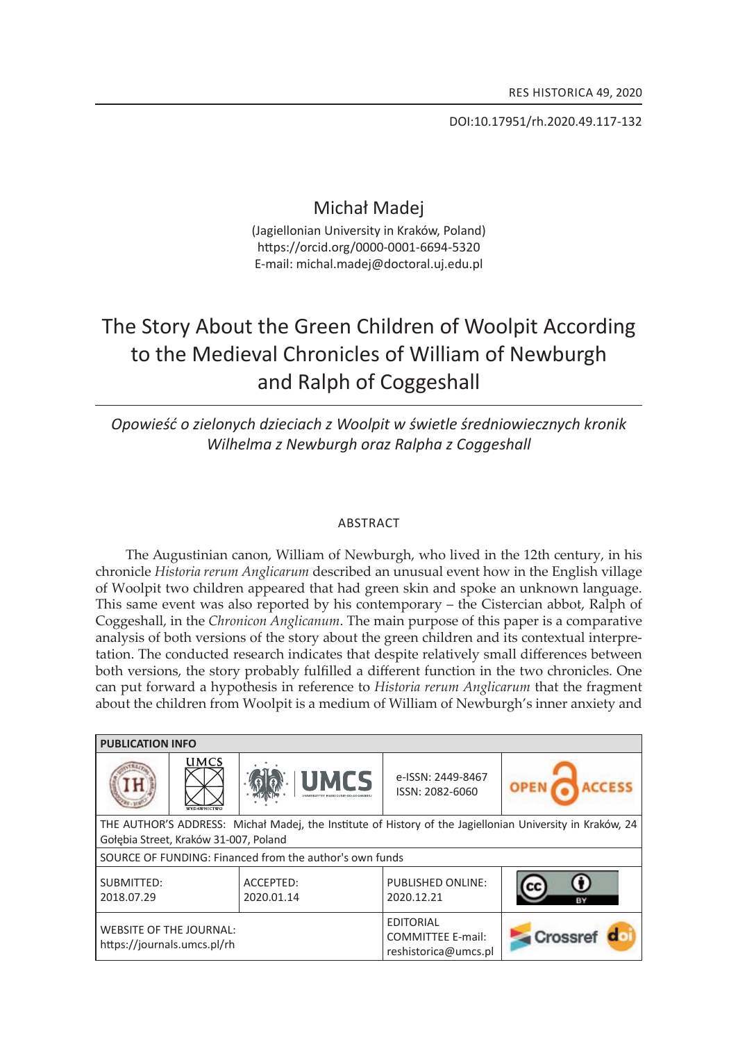Doi:10.17951/rh.2020.49.117-132

## Michał Madej

(Jagiellonian University in Kraków, Poland) https://orcid.org/0000-0001-6694-5320 E-mail: michal.madej@doctoral.uj.edu.pl

# The Story About the Green Children of Woolpit According to the Medieval Chronicles of William of Newburgh and Ralph of Coggeshall

### *opowieść o zielonych dzieciach z Woolpit w świetle średniowiecznych kronik Wilhelma z Newburgh oraz Ralpha z Coggeshall*

#### **ABSTRACT**

The Augustinian canon, William of Newburgh, who lived in the 12th century, in his chronicle *Historia rerum Anglicarum* described an unusual event how in the english village of Woolpit two children appeared that had green skin and spoke an unknown language. This same event was also reported by his contemporary – the Cistercian abbot, Ralph of coggeshall, in the *Chronicon Anglicanum*. the main purpose of this paper is a comparative analysis of both versions of the story about the green children and its contextual interpretation. the conducted research indicates that despite relatively small differences between both versions, the story probably fulfilled a different function in the two chronicles. One can put forward a hypothesis in reference to *Historia rerum Anglicarum* that the fragment about the children from Woolpit is a medium of William of Newburgh's inner anxiety and

| <b>PUBLICATION INFO</b>                                                                                                                            |                                   |                         |                                                                      |         |
|----------------------------------------------------------------------------------------------------------------------------------------------------|-----------------------------------|-------------------------|----------------------------------------------------------------------|---------|
|                                                                                                                                                    | <b>UMCS</b><br><b>WYDAWNICTWO</b> | <b>UMCS</b>             | e-ISSN: 2449-8467<br>ISSN: 2082-6060                                 |         |
| THE AUTHOR'S ADDRESS: Michał Madej, the Institute of History of the Jagiellonian University in Kraków, 24<br>Gołębia Street, Kraków 31-007, Poland |                                   |                         |                                                                      |         |
| SOURCE OF FUNDING: Financed from the author's own funds                                                                                            |                                   |                         |                                                                      |         |
| SUBMITTED:<br>2018.07.29                                                                                                                           |                                   | ACCEPTED:<br>2020.01.14 | <b>PUBLISHED ONLINE:</b><br>2020.12.21                               | cc      |
| <b>WEBSITE OF THE JOURNAL:</b><br>https://journals.umcs.pl/rh                                                                                      |                                   |                         | <b>EDITORIAL</b><br><b>COMMITTEE E-mail:</b><br>reshistorica@umcs.pl | Crossre |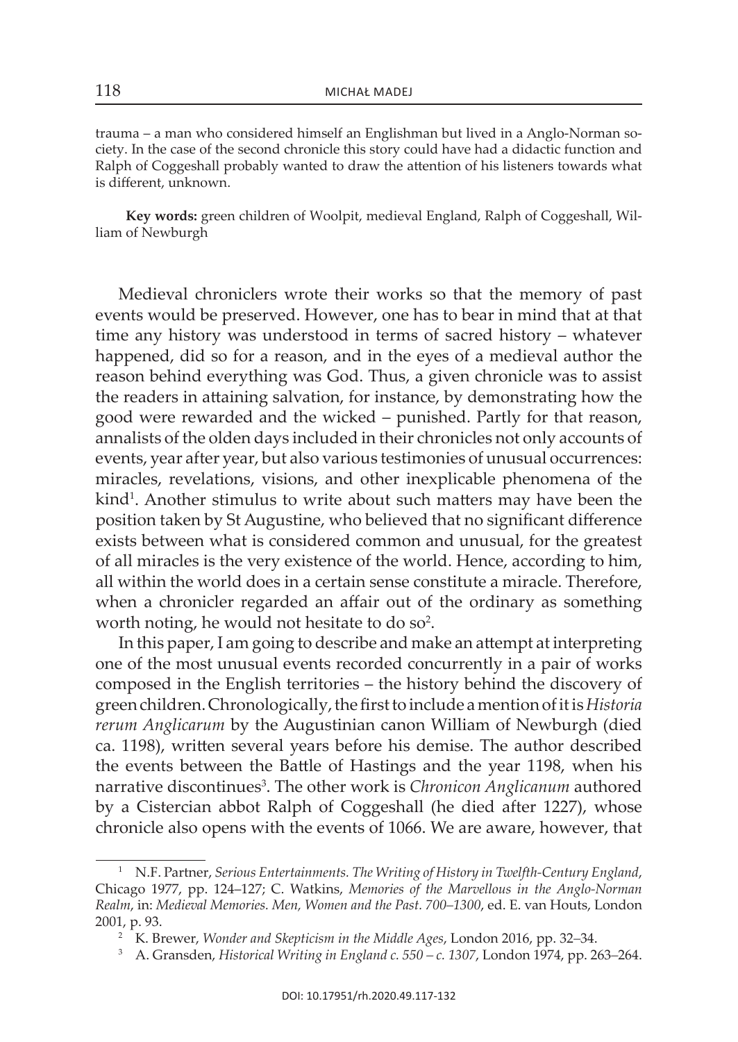trauma – a man who considered himself an Englishman but lived in a Anglo-Norman society. in the case of the second chronicle this story could have had a didactic function and Ralph of Coggeshall probably wanted to draw the attention of his listeners towards what is different, unknown.

Key words: green children of Woolpit, medieval England, Ralph of Coggeshall, William of Newburgh

Medieval chroniclers wrote their works so that the memory of past events would be preserved. however, one has to bear in mind that at that time any history was understood in terms of sacred history – whatever happened, did so for a reason, and in the eyes of a medieval author the reason behind everything was God. Thus, a given chronicle was to assist the readers in attaining salvation, for instance, by demonstrating how the good were rewarded and the wicked – punished. Partly for that reason, annalists of the olden days included in their chronicles not only accounts of events, year after year, but also various testimonies of unusual occurrences: miracles, revelations, visions, and other inexplicable phenomena of the kind<sup>1</sup>. Another stimulus to write about such matters may have been the position taken by St Augustine, who believed that no significant difference exists between what is considered common and unusual, for the greatest of all miracles is the very existence of the world. hence, according to him, all within the world does in a certain sense constitute a miracle. Therefore, when a chronicler regarded an affair out of the ordinary as something worth noting, he would not hesitate to do so<sup>2</sup>.

In this paper, I am going to describe and make an attempt at interpreting one of the most unusual events recorded concurrently in a pair of works composed in the English territories – the history behind the discovery of green children. Chronologically, the first to include a mention of it is *Historia rerum Anglicarum* by the Augustinian canon William of Newburgh (died ca. 1198), written several years before his demise. the author described the events between the Battle of Hastings and the year 1198, when his narrative discontinues<sup>3</sup>. The other work is *Chronicon Anglicanum* authored by a Cistercian abbot Ralph of Coggeshall (he died after 1227), whose chronicle also opens with the events of 1066. We are aware, however, that

<sup>&</sup>lt;sup>1</sup> N.F. Partner, *Serious Entertainments. The Writing of History in Twelfth-Century England,* Chicago 1977, pp. 124–127; C. watkins, *Memories of the Marvellous in the Anglo-Norman*  Realm, in: *Medieval Memories. Men, Women and the Past. 700–1300*, ed. E. van Houts, London 2001, p. 93.

<sup>&</sup>lt;sup>2</sup> K. Brewer, *Wonder and Skepticism in the Middle Ages*, London 2016, pp. 32–34.

<sup>&</sup>lt;sup>3</sup> A. Gransden, *Historical Writing in England c.* 550 – *c.* 1307, London 1974, pp. 263–264.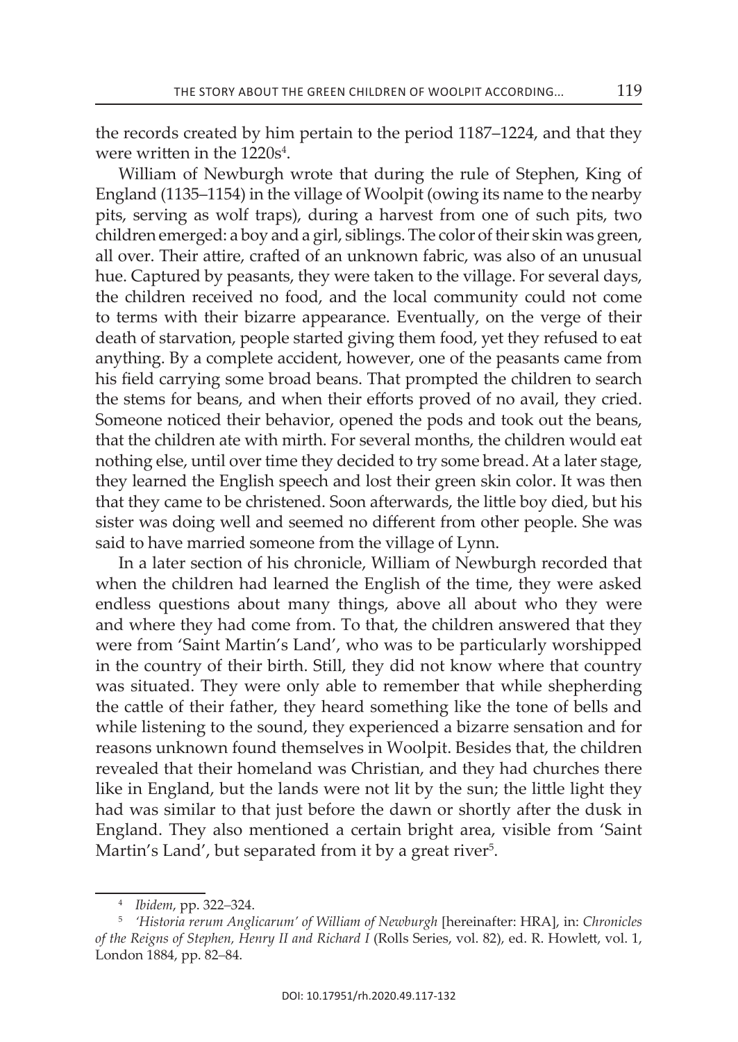the records created by him pertain to the period 1187–1224, and that they were written in the 1220s<sup>4</sup>.

William of Newburgh wrote that during the rule of Stephen, King of England (1135–1154) in the village of Woolpit (owing its name to the nearby pits, serving as wolf traps), during a harvest from one of such pits, two children emerged: a boy and a girl, siblings. the color of their skin was green, all over. their attire, crafted of an unknown fabric, was also of an unusual hue. Captured by peasants, they were taken to the village. For several days, the children received no food, and the local community could not come to terms with their bizarre appearance. Eventually, on the verge of their death of starvation, people started giving them food, yet they refused to eat anything. By a complete accident, however, one of the peasants came from his field carrying some broad beans. That prompted the children to search the stems for beans, and when their efforts proved of no avail, they cried. someone noticed their behavior, opened the pods and took out the beans, that the children ate with mirth. For several months, the children would eat nothing else, until over time they decided to try some bread. At a later stage, they learned the English speech and lost their green skin color. It was then that they came to be christened. soon afterwards, the little boy died, but his sister was doing well and seemed no different from other people. she was said to have married someone from the village of Lynn.

In a later section of his chronicle, William of Newburgh recorded that when the children had learned the English of the time, they were asked endless questions about many things, above all about who they were and where they had come from. To that, the children answered that they were from 'Saint Martin's Land', who was to be particularly worshipped in the country of their birth. still, they did not know where that country was situated. They were only able to remember that while shepherding the cattle of their father, they heard something like the tone of bells and while listening to the sound, they experienced a bizarre sensation and for reasons unknown found themselves in Woolpit. Besides that, the children revealed that their homeland was christian, and they had churches there like in England, but the lands were not lit by the sun; the little light they had was similar to that just before the dawn or shortly after the dusk in England. They also mentioned a certain bright area, visible from 'Saint Martin's Land', but separated from it by a great river<sup>5</sup>.

<sup>4</sup>*Ibidem*, pp. 322*–*324.

<sup>&</sup>lt;sup>5</sup> 'Historia rerum Anglicarum' of William of Newburgh [hereinafter: HRA], in: Chronicles of the Reigns of Stephen, Henry II and Richard I (Rolls Series, vol. 82), ed. R. Howlett, vol. 1, london 1884, pp. 82*–*84.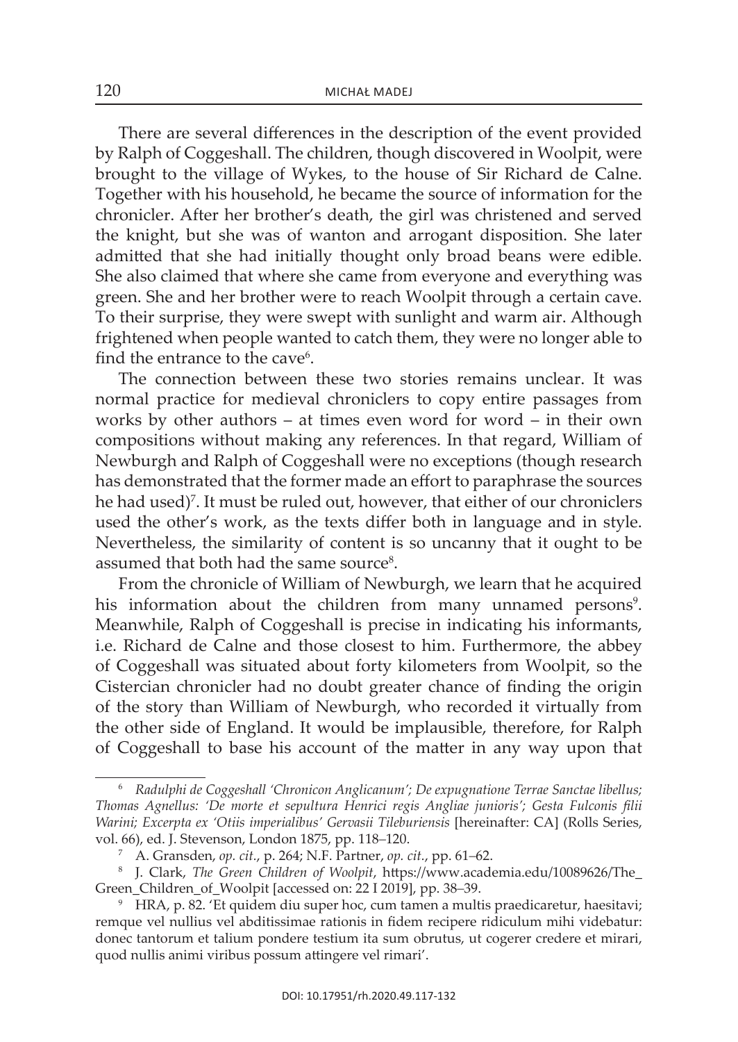there are several differences in the description of the event provided by Ralph of Coggeshall. The children, though discovered in Woolpit, were brought to the village of Wykes, to the house of Sir Richard de Calne. Together with his household, he became the source of information for the chronicler. after her brother's death, the girl was christened and served the knight, but she was of wanton and arrogant disposition. she later admitted that she had initially thought only broad beans were edible. she also claimed that where she came from everyone and everything was green. she and her brother were to reach Woolpit through a certain cave. To their surprise, they were swept with sunlight and warm air. Although frightened when people wanted to catch them, they were no longer able to find the entrance to the cave<sup>6</sup>.

The connection between these two stories remains unclear. It was normal practice for medieval chroniclers to copy entire passages from works by other authors – at times even word for word – in their own compositions without making any references. in that regard, William of Newburgh and Ralph of Coggeshall were no exceptions (though research has demonstrated that the former made an effort to paraphrase the sources he had used)<sup>7</sup>. It must be ruled out, however, that either of our chroniclers used the other's work, as the texts differ both in language and in style. Nevertheless, the similarity of content is so uncanny that it ought to be assumed that both had the same source<sup>8</sup>.

From the chronicle of William of Newburgh, we learn that he acquired his information about the children from many unnamed persons<sup>9</sup>. Meanwhile, Ralph of Coggeshall is precise in indicating his informants, i.e. Richard de Calne and those closest to him. Furthermore, the abbey of coggeshall was situated about forty kilometers from Woolpit, so the Cistercian chronicler had no doubt greater chance of finding the origin of the story than William of Newburgh, who recorded it virtually from the other side of England. It would be implausible, therefore, for Ralph of Coggeshall to base his account of the matter in any way upon that

<sup>6</sup>*Radulphi de Coggeshall 'Chronicon Anglicanum'; De expugnatione Terrae Sanctae libellus; Thomas Agnellus: 'De morte et sepultura Henrici regis Angliae junioris'; Gesta Fulconis filii Warini; Excerpta ex 'Otiis imperialibus' Gervasii Tileburiensis* [hereinafter: CA] (Rolls Series, vol. 66), ed. J. stevenson, London 1875, pp. 118*–*120.

<sup>7</sup> a. Gransden, *op. cit.*, p. 264; n.F. Partner, *op. cit.*, pp. 61*–*62.

<sup>&</sup>lt;sup>8</sup> J. Clark, *The Green Children of Woolpit*, https://www.academia.edu/10089626/The\_ Green\_Children\_of\_woolpit [accessed on: 22 i 2019], pp. 38*–*39.

<sup>&</sup>lt;sup>9</sup> HRA, p. 82. 'Et quidem diu super hoc, cum tamen a multis praedicaretur, haesitavi; remque vel nullius vel abditissimae rationis in fidem recipere ridiculum mihi videbatur: donec tantorum et talium pondere testium ita sum obrutus, ut cogerer credere et mirari, quod nullis animi viribus possum attingere vel rimari'.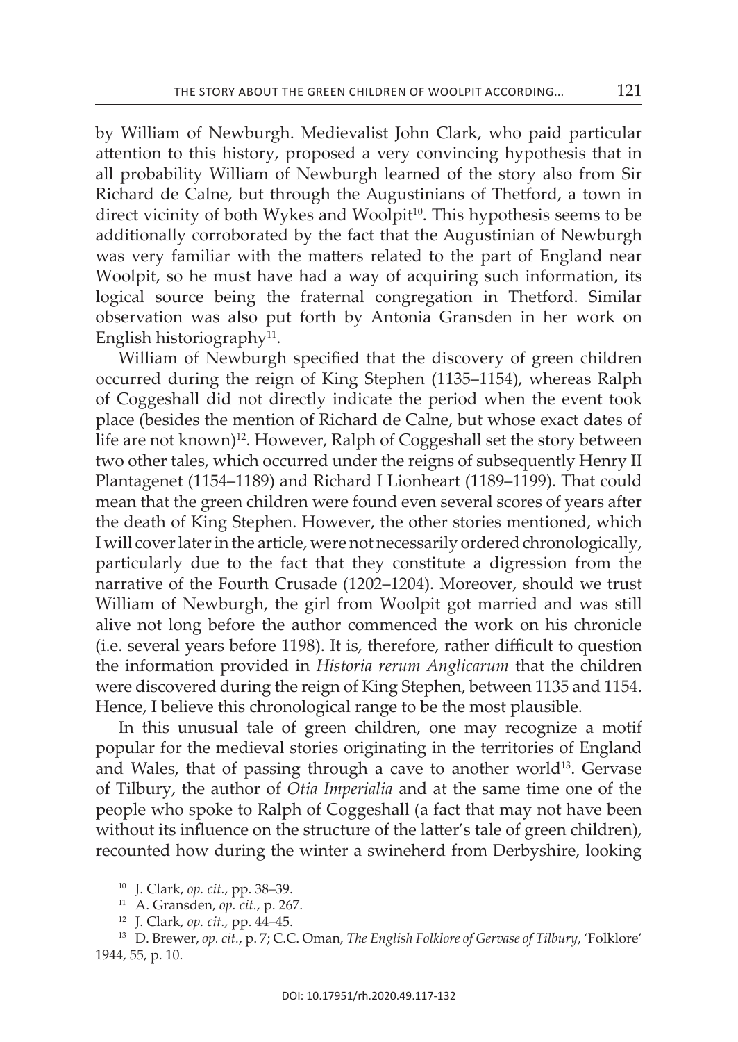by William of newburgh. Medievalist John clark, who paid particular attention to this history, proposed a very convincing hypothesis that in all probability William of newburgh learned of the story also from sir Richard de Calne, but through the Augustinians of Thetford, a town in direct vicinity of both Wykes and Woolpit<sup>10</sup>. This hypothesis seems to be additionally corroborated by the fact that the Augustinian of Newburgh was very familiar with the matters related to the part of England near Woolpit, so he must have had a way of acquiring such information, its logical source being the fraternal congregation in Thetford. Similar observation was also put forth by antonia Gransden in her work on English historiography<sup>11</sup>.

William of Newburgh specified that the discovery of green children occurred during the reign of King Stephen (1135–1154), whereas Ralph of coggeshall did not directly indicate the period when the event took place (besides the mention of Richard de Calne, but whose exact dates of life are not known)<sup>12</sup>. However, Ralph of Coggeshall set the story between two other tales, which occurred under the reigns of subsequently Henry II Plantagenet (1154–1189) and Richard I Lionheart (1189–1199). That could mean that the green children were found even several scores of years after the death of King Stephen. However, the other stories mentioned, which i will cover later in the article, were not necessarily ordered chronologically, particularly due to the fact that they constitute a digression from the narrative of the Fourth Crusade (1202–1204). Moreover, should we trust William of Newburgh, the girl from Woolpit got married and was still alive not long before the author commenced the work on his chronicle (i.e. several years before 1198). it is, therefore, rather difficult to question the information provided in *Historia rerum Anglicarum* that the children were discovered during the reign of King Stephen, between 1135 and 1154. Hence, I believe this chronological range to be the most plausible.

In this unusual tale of green children, one may recognize a motif popular for the medieval stories originating in the territories of England and Wales, that of passing through a cave to another world<sup>13</sup>. Gervase of tilbury, the author of *Otia Imperialia* and at the same time one of the people who spoke to Ralph of Coggeshall (a fact that may not have been without its influence on the structure of the latter's tale of green children), recounted how during the winter a swineherd from Derbyshire, looking

<sup>10</sup> J. clark, *op. cit.*, pp. 38*–*39.

<sup>11</sup> a. Gransden, *op. cit.*, p. 267.

<sup>12</sup> J. clark, *op. cit.*, pp. 44*–*45.

<sup>13</sup> D. Brewer, *op. cit.*, p. 7; c.c. oman, *The English Folklore of Gervase of Tilbury*, 'Folklore' 1944, 55, p. 10.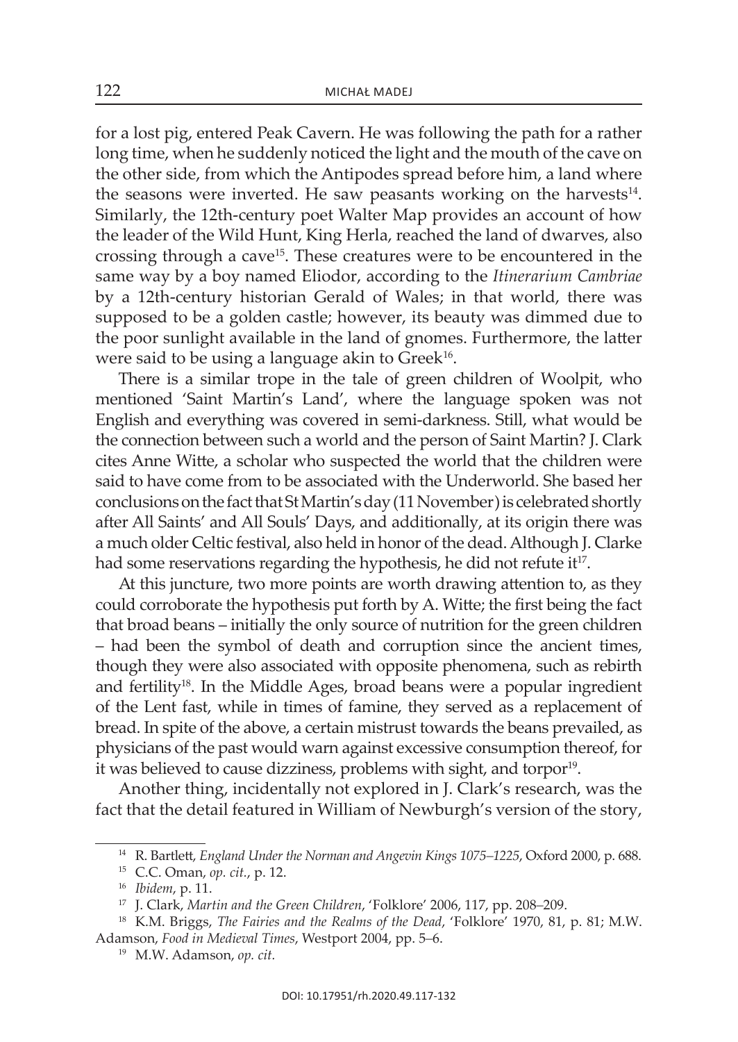for a lost pig, entered Peak cavern. he was following the path for a rather long time, when he suddenly noticed the light and the mouth of the cave on the other side, from which the Antipodes spread before him, a land where the seasons were inverted. He saw peasants working on the harvests $^{14}$ . similarly, the 12th-century poet Walter Map provides an account of how the leader of the Wild Hunt, King Herla, reached the land of dwarves, also crossing through a cave<sup>15</sup>. These creatures were to be encountered in the same way by a boy named eliodor, according to the *Itinerarium Cambriae* by a 12th-century historian Gerald of Wales; in that world, there was supposed to be a golden castle; however, its beauty was dimmed due to the poor sunlight available in the land of gnomes. Furthermore, the latter were said to be using a language akin to  $Greek^{16}$ .

There is a similar trope in the tale of green children of Woolpit, who mentioned 'Saint Martin's Land', where the language spoken was not english and everything was covered in semi-darkness. still, what would be the connection between such a world and the person of saint Martin? J. clark cites Anne Witte, a scholar who suspected the world that the children were said to have come from to be associated with the Underworld. She based her conclusions on the fact that St Martin's day (11 November) is celebrated shortly after all saints' and all souls' Days, and additionally, at its origin there was a much older celtic festival, also held in honor of the dead. although J. clarke had some reservations regarding the hypothesis, he did not refute it<sup>17</sup>.

At this juncture, two more points are worth drawing attention to, as they could corroborate the hypothesis put forth by A. Witte; the first being the fact that broad beans – initially the only source of nutrition for the green children – had been the symbol of death and corruption since the ancient times, though they were also associated with opposite phenomena, such as rebirth and fertility<sup>18</sup>. In the Middle Ages, broad beans were a popular ingredient of the lent fast, while in times of famine, they served as a replacement of bread. in spite of the above, a certain mistrust towards the beans prevailed, as physicians of the past would warn against excessive consumption thereof, for it was believed to cause dizziness, problems with sight, and torpor<sup>19</sup>.

another thing, incidentally not explored in J. clark's research, was the fact that the detail featured in William of Newburgh's version of the story,

<sup>&</sup>lt;sup>14</sup> R. Bartlett, *England Under the Norman and Angevin Kings 1075–1225*, Oxford 2000, p. 688.

<sup>15</sup> c.c. oman, *op. cit.*, p. 12.

<sup>16</sup> *Ibidem*, p. 11.

<sup>17</sup> J. clark, *Martin and the Green Children*, 'Folklore' 2006, 117, pp. 208*–*209.

<sup>18</sup> K.M. Briggs, *The Fairies and the Realms of the Dead*, 'Folklore' 1970, 81, p. 81; M.W. adamson, *Food in Medieval Times*, Westport 2004, pp. 5*–*6.

<sup>19</sup> M.W. adamson, *op. cit.*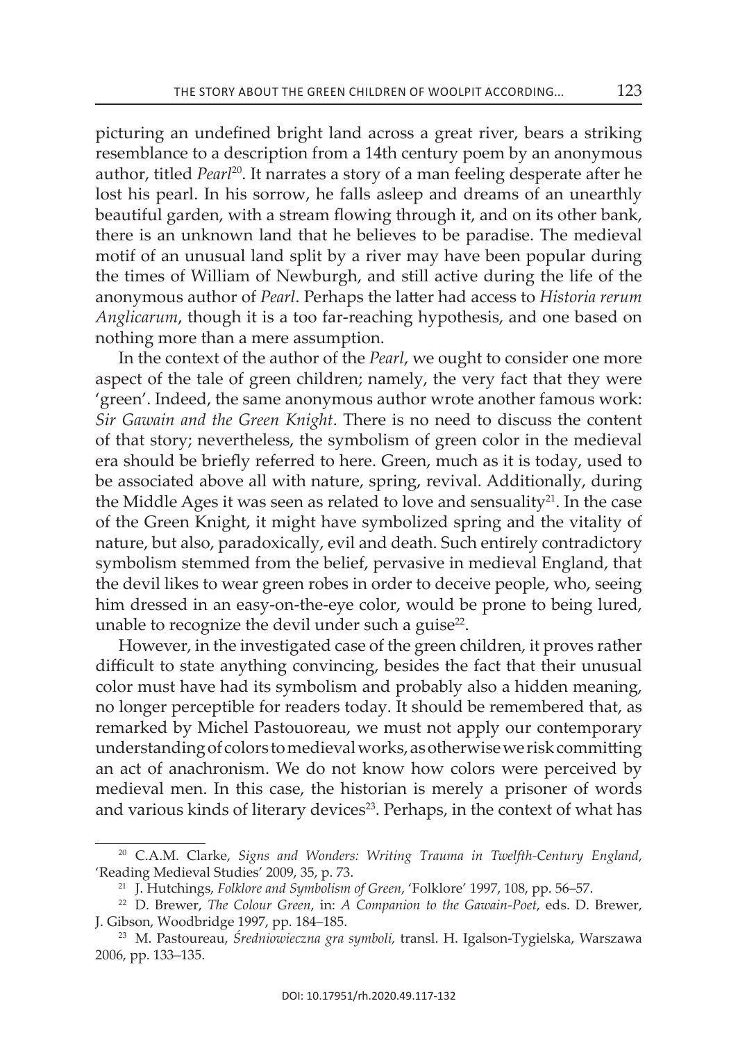picturing an undefined bright land across a great river, bears a striking resemblance to a description from a 14th century poem by an anonymous author, titled *Pearl*20. it narrates a story of a man feeling desperate after he lost his pearl. in his sorrow, he falls asleep and dreams of an unearthly beautiful garden, with a stream flowing through it, and on its other bank, there is an unknown land that he believes to be paradise. The medieval motif of an unusual land split by a river may have been popular during the times of William of Newburgh, and still active during the life of the anonymous author of *Pearl*. Perhaps the latter had access to *Historia rerum Anglicarum*, though it is a too far-reaching hypothesis, and one based on nothing more than a mere assumption.

In the context of the author of the *Pearl*, we ought to consider one more aspect of the tale of green children; namely, the very fact that they were 'green'. Indeed, the same anonymous author wrote another famous work: *Sir Gawain and the Green Knight*. there is no need to discuss the content of that story; nevertheless, the symbolism of green color in the medieval era should be briefly referred to here. Green, much as it is today, used to be associated above all with nature, spring, revival. Additionally, during the Middle Ages it was seen as related to love and sensuality<sup>21</sup>. In the case of the Green Knight, it might have symbolized spring and the vitality of nature, but also, paradoxically, evil and death. Such entirely contradictory symbolism stemmed from the belief, pervasive in medieval England, that the devil likes to wear green robes in order to deceive people, who, seeing him dressed in an easy-on-the-eye color, would be prone to being lured, unable to recognize the devil under such a guise $22$ .

however, in the investigated case of the green children, it proves rather difficult to state anything convincing, besides the fact that their unusual color must have had its symbolism and probably also a hidden meaning, no longer perceptible for readers today. it should be remembered that, as remarked by Michel Pastouoreau, we must not apply our contemporary understanding of colors to medieval works, as otherwise we risk committing an act of anachronism. We do not know how colors were perceived by medieval men. in this case, the historian is merely a prisoner of words and various kinds of literary devices<sup>23</sup>. Perhaps, in the context of what has

<sup>&</sup>lt;sup>20</sup> C.A.M. Clarke, *Signs and Wonders: Writing Trauma in Twelfth-Century England,* 'Reading Medieval Studies' 2009, 35, p. 73.

<sup>21</sup> J. hutchings, *Folklore and Symbolism of Green*, 'Folklore' 1997, 108, pp. 56*–*57.

<sup>22</sup> D. Brewer, *The Colour Green*, in: *A Companion to the Gawain-Poet*, eds. D. Brewer, J. Gibson, woodbridge 1997, pp. 184–185.

<sup>&</sup>lt;sup>23</sup> M. Pastoureau, Średniowieczna gra symboli, transl. H. Igalson-Tygielska, Warszawa 2006, pp. 133*–*135.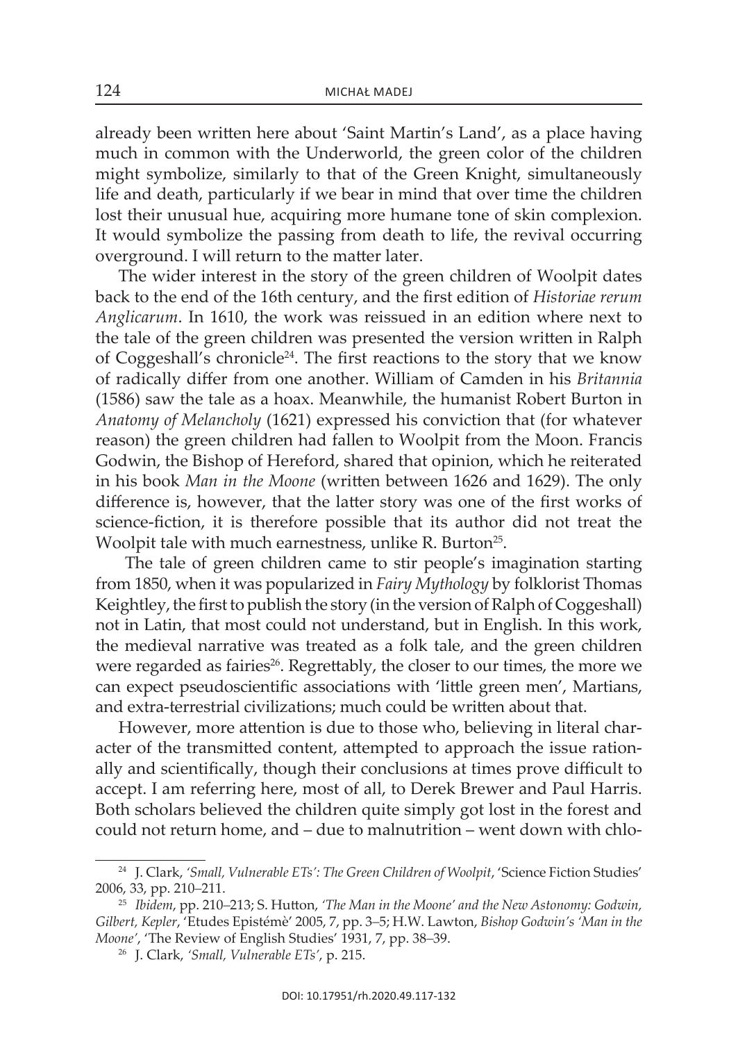already been written here about 'Saint Martin's Land', as a place having much in common with the Underworld, the green color of the children might symbolize, similarly to that of the Green Knight, simultaneously life and death, particularly if we bear in mind that over time the children lost their unusual hue, acquiring more humane tone of skin complexion. It would symbolize the passing from death to life, the revival occurring overground. I will return to the matter later.

The wider interest in the story of the green children of Woolpit dates back to the end of the 16th century, and the first edition of *Historiae rerum Anglicarum*. in 1610, the work was reissued in an edition where next to the tale of the green children was presented the version written in Ralph of coggeshall's chronicle24. the first reactions to the story that we know of radically differ from one another. william of Camden in his *Britannia*   $(1586)$  saw the tale as a hoax. Meanwhile, the humanist Robert Burton in *Anatomy of Melancholy* (1621) expressed his conviction that (for whatever reason) the green children had fallen to woolpit from the Moon. Francis Godwin, the Bishop of Hereford, shared that opinion, which he reiterated in his book *Man in the Moone* (written between 1626 and 1629). The only difference is, however, that the latter story was one of the first works of science-fiction, it is therefore possible that its author did not treat the Woolpit tale with much earnestness, unlike R. Burton<sup>25</sup>.

The tale of green children came to stir people's imagination starting from 1850, when it was popularized in *Fairy Mythology* by folklorist thomas Keightley, the first to publish the story (in the version of Ralph of Coggeshall) not in Latin, that most could not understand, but in English. In this work, the medieval narrative was treated as a folk tale, and the green children were regarded as fairies<sup>26</sup>. Regrettably, the closer to our times, the more we can expect pseudoscientific associations with 'little green men', Martians, and extra-terrestrial civilizations; much could be written about that.

However, more attention is due to those who, believing in literal character of the transmitted content, attempted to approach the issue rationally and scientifically, though their conclusions at times prove difficult to accept. I am referring here, most of all, to Derek Brewer and Paul Harris. Both scholars believed the children quite simply got lost in the forest and could not return home, and – due to malnutrition – went down with chlo-

<sup>&</sup>lt;sup>24</sup> J. Clark, 'Small, Vulnerable ETs': The Green Children of Woolpit, 'Science Fiction Studies' 2006, 33, pp. 210*–*211.

<sup>25</sup> *Ibidem*, pp. 210*–*213; s. Hutton, *'The Man in the Moone' and the New Astonomy: Godwin, Gilbert, Kepler, 'Etudes Epistémè' 2005, 7, pp. 3–5; H.W. Lawton, Bishop Godwin's 'Man in the Moone'*, 'The Review of English Studies' 1931, 7, pp. 38-39.

<sup>26</sup> J. clark, *'Small, Vulnerable ETs'*, p. 215.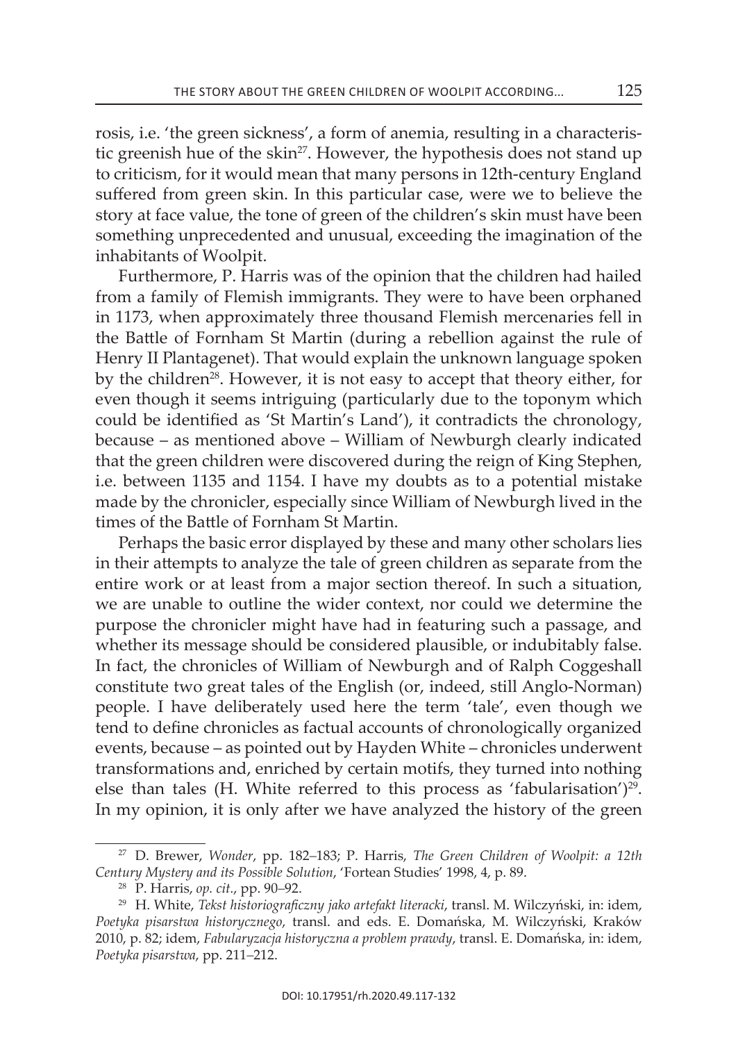rosis, i.e. 'the green sickness', a form of anemia, resulting in a characteristic greenish hue of the skin<sup>27</sup>. However, the hypothesis does not stand up to criticism, for it would mean that many persons in 12th-century England suffered from green skin. in this particular case, were we to believe the story at face value, the tone of green of the children's skin must have been something unprecedented and unusual, exceeding the imagination of the inhabitants of Woolpit.

Furthermore, P. harris was of the opinion that the children had hailed from a family of Flemish immigrants. They were to have been orphaned in 1173, when approximately three thousand Flemish mercenaries fell in the Battle of Fornham st Martin (during a rebellion against the rule of Henry II Plantagenet). That would explain the unknown language spoken by the children<sup>28</sup>. However, it is not easy to accept that theory either, for even though it seems intriguing (particularly due to the toponym which could be identified as 'st Martin's Land'), it contradicts the chronology, because – as mentioned above – William of Newburgh clearly indicated that the green children were discovered during the reign of King stephen, i.e. between 1135 and 1154. i have my doubts as to a potential mistake made by the chronicler, especially since William of Newburgh lived in the times of the Battle of Fornham st Martin.

Perhaps the basic error displayed by these and many other scholars lies in their attempts to analyze the tale of green children as separate from the entire work or at least from a major section thereof. in such a situation, we are unable to outline the wider context, nor could we determine the purpose the chronicler might have had in featuring such a passage, and whether its message should be considered plausible, or indubitably false. In fact, the chronicles of William of Newburgh and of Ralph Coggeshall constitute two great tales of the English (or, indeed, still Anglo-Norman) people. I have deliberately used here the term 'tale', even though we tend to define chronicles as factual accounts of chronologically organized events, because – as pointed out by Hayden white – chronicles underwent transformations and, enriched by certain motifs, they turned into nothing else than tales (H. White referred to this process as 'fabularisation')<sup>29</sup>. In my opinion, it is only after we have analyzed the history of the green

<sup>27</sup> D. Brewer, *Wonder*, pp. 182*–*183; P. harris, *The Green Children of Woolpit: a 12th Century Mystery and its Possible Solution*, 'Fortean studies' 1998, 4, p. 89.

<sup>28</sup> P. harris, *op. cit.*, pp. 90*–*92.

<sup>&</sup>lt;sup>29</sup> H. White, *Tekst historiograficzny jako artefakt literacki*, transl. M. Wilczyński, in: idem, Poetyka pisarstwa historycznego, transl. and eds. E. Domańska, M. Wilczyński, Kraków 2010, p. 82; idem, *Fabularyzacja historyczna a problem prawdy*, transl. E. Domańska, in: idem, *Poetyka pisarstwa*, pp. 211*–*212.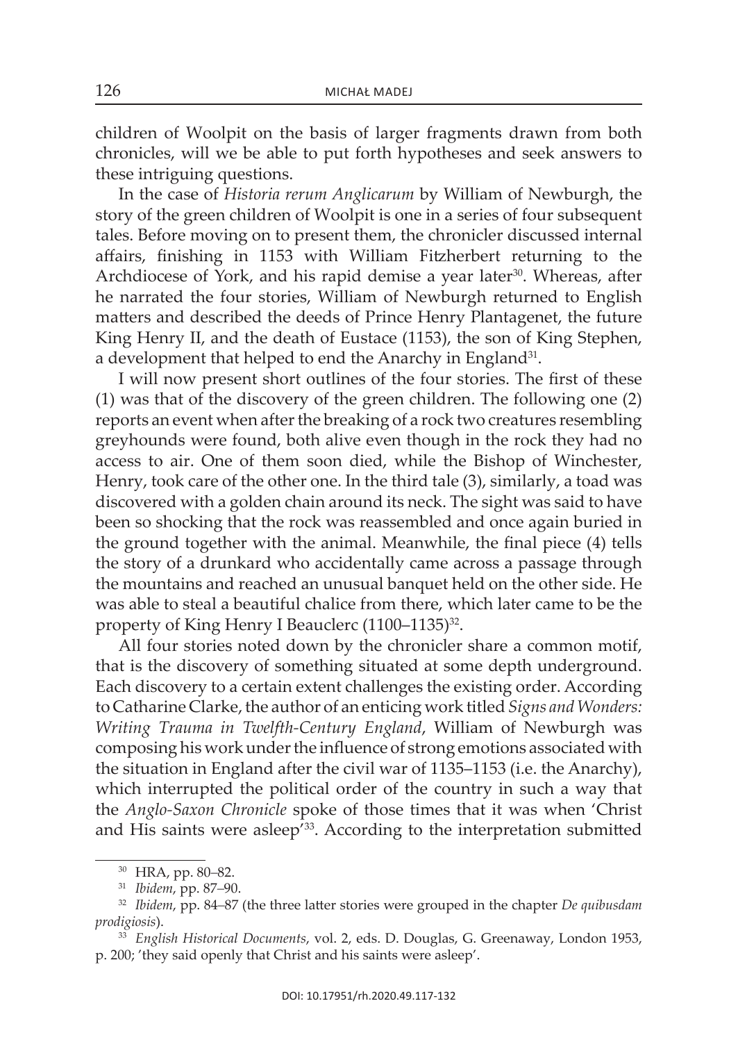children of Woolpit on the basis of larger fragments drawn from both chronicles, will we be able to put forth hypotheses and seek answers to these intriguing questions.

In the case of *Historia rerum Anglicarum* by William of Newburgh, the story of the green children of Woolpit is one in a series of four subsequent tales. Before moving on to present them, the chronicler discussed internal affairs, finishing in 1153 with william Fitzherbert returning to the Archdiocese of York, and his rapid demise a year later<sup>30</sup>. Whereas, after he narrated the four stories, William of Newburgh returned to English matters and described the deeds of Prince Henry Plantagenet, the future King Henry II, and the death of Eustace (1153), the son of King Stephen, a development that helped to end the Anarchy in England<sup>31</sup>.

I will now present short outlines of the four stories. The first of these  $(1)$  was that of the discovery of the green children. The following one  $(2)$ reports an event when after the breaking of a rock two creatures resembling greyhounds were found, both alive even though in the rock they had no access to air. One of them soon died, while the Bishop of Winchester, Henry, took care of the other one. in the third tale (3), similarly, a toad was discovered with a golden chain around its neck. The sight was said to have been so shocking that the rock was reassembled and once again buried in the ground together with the animal. Meanwhile, the final piece (4) tells the story of a drunkard who accidentally came across a passage through the mountains and reached an unusual banquet held on the other side. He was able to steal a beautiful chalice from there, which later came to be the property of King Henry I Beauclerc (1100–1135)<sup>32</sup>.

All four stories noted down by the chronicler share a common motif, that is the discovery of something situated at some depth underground. Each discovery to a certain extent challenges the existing order. According to catharine clarke, the author of an enticing work titled *Signs and Wonders: Writing Trauma in Twelfth-Century England*, William of newburgh was composing his work under the influence of strong emotions associated with the situation in England after the civil war of 1135–1153 (i.e. the Anarchy), which interrupted the political order of the country in such a way that the *Anglo-Saxon Chronicle* spoke of those times that it was when 'christ and His saints were asleep<sup>'33</sup>. According to the interpretation submitted

<sup>30</sup> hra, pp. 80*–*82.

<sup>31</sup> *Ibidem*, pp. 87*–*90.

<sup>32</sup> *Ibidem*, pp. 84*–*87 (the three latter stories were grouped in the chapter *De quibusdam prodigiosis*).

<sup>33</sup> *English Historical Documents*, vol. 2, eds. D. Douglas, G. Greenaway, london 1953, p. 200; 'they said openly that christ and his saints were asleep'.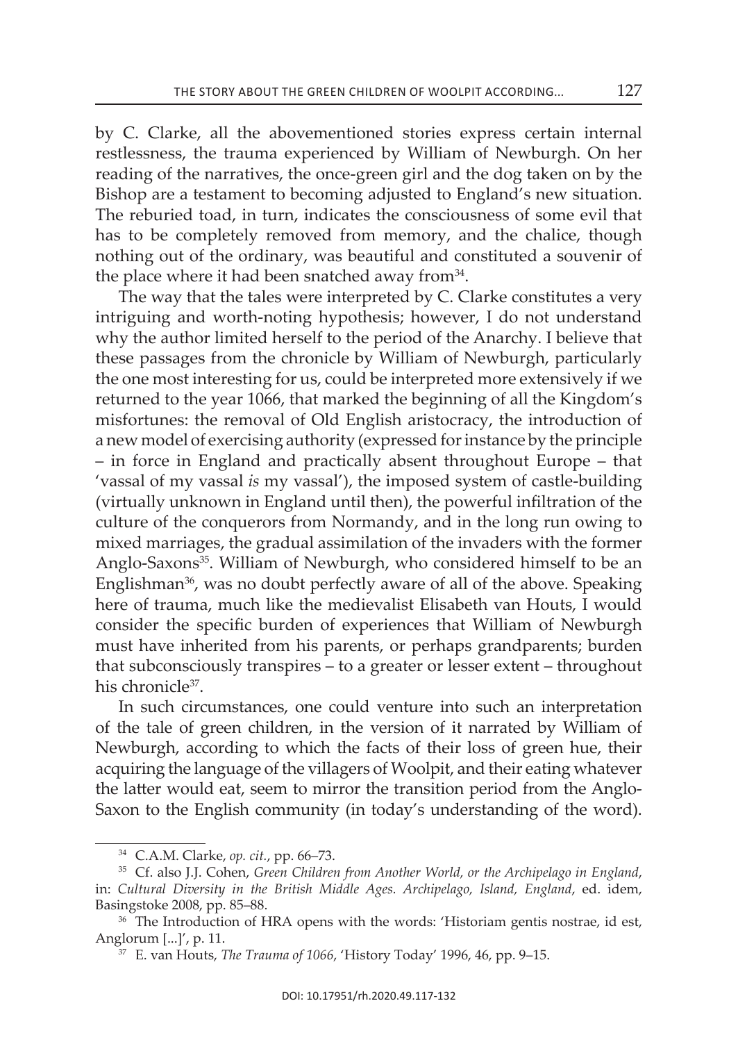by c. clarke, all the abovementioned stories express certain internal restlessness, the trauma experienced by William of Newburgh. On her reading of the narratives, the once-green girl and the dog taken on by the Bishop are a testament to becoming adjusted to England's new situation. the reburied toad, in turn, indicates the consciousness of some evil that has to be completely removed from memory, and the chalice, though nothing out of the ordinary, was beautiful and constituted a souvenir of the place where it had been snatched away from  $34$ .

The way that the tales were interpreted by C. Clarke constitutes a very intriguing and worth-noting hypothesis; however, I do not understand why the author limited herself to the period of the Anarchy. I believe that these passages from the chronicle by William of Newburgh, particularly the one most interesting for us, could be interpreted more extensively if we returned to the year 1066, that marked the beginning of all the Kingdom's misfortunes: the removal of old english aristocracy, the introduction of a new model of exercising authority (expressed for instance by the principle – in force in England and practically absent throughout Europe – that 'vassal of my vassal *is* my vassal'), the imposed system of castle-building (virtually unknown in England until then), the powerful infiltration of the culture of the conquerors from Normandy, and in the long run owing to mixed marriages, the gradual assimilation of the invaders with the former Anglo-Saxons<sup>35</sup>. William of Newburgh, who considered himself to be an Englishman<sup>36</sup>, was no doubt perfectly aware of all of the above. Speaking here of trauma, much like the medievalist Elisabeth van Houts, I would consider the specific burden of experiences that William of Newburgh must have inherited from his parents, or perhaps grandparents; burden that subconsciously transpires – to a greater or lesser extent – throughout his chronicle<sup>37</sup>.

In such circumstances, one could venture into such an interpretation of the tale of green children, in the version of it narrated by William of Newburgh, according to which the facts of their loss of green hue, their acquiring the language of the villagers of Woolpit, and their eating whatever the latter would eat, seem to mirror the transition period from the Anglo-Saxon to the English community (in today's understanding of the word).

<sup>34</sup> c.a.M. clarke, *op. cit.*, pp. 66–73.

<sup>35</sup> cf. also J.J. cohen, *Green Children from Another World, or the Archipelago in England*, in: *Cultural Diversity in the British Middle Ages. Archipelago, Island, England*, ed. idem, Basingstoke 2008, pp. 85–88.

<sup>&</sup>lt;sup>36</sup> The Introduction of HRA opens with the words: 'Historiam gentis nostrae, id est, anglorum [...]', p. 11.

<sup>&</sup>lt;sup>37</sup> E. van Houts, *The Trauma of 1066*, 'History Today' 1996, 46, pp. 9–15.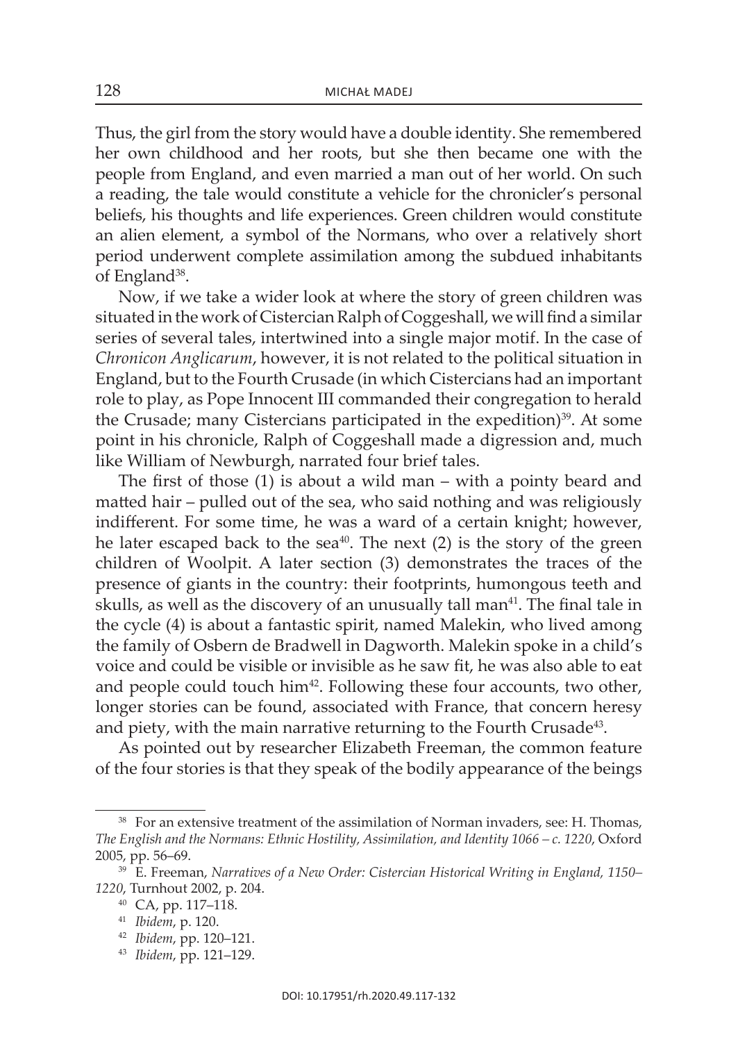thus, the girl from the story would have a double identity. she remembered her own childhood and her roots, but she then became one with the people from England, and even married a man out of her world. On such a reading, the tale would constitute a vehicle for the chronicler's personal beliefs, his thoughts and life experiences. Green children would constitute an alien element, a symbol of the Normans, who over a relatively short period underwent complete assimilation among the subdued inhabitants of England<sup>38</sup>.

Now, if we take a wider look at where the story of green children was situated in the work of Cistercian Ralph of Coggeshall, we will find a similar series of several tales, intertwined into a single major motif. in the case of *Chronicon Anglicarum*, however, it is not related to the political situation in England, but to the Fourth Crusade (in which Cistercians had an important role to play, as Pope innocent iii commanded their congregation to herald the Crusade; many Cistercians participated in the expedition) $39$ . At some point in his chronicle, Ralph of Coggeshall made a digression and, much like William of Newburgh, narrated four brief tales.

The first of those  $(1)$  is about a wild man – with a pointy beard and matted hair – pulled out of the sea, who said nothing and was religiously indifferent. For some time, he was a ward of a certain knight; however, he later escaped back to the sea<sup>40</sup>. The next (2) is the story of the green children of woolpit. a later section (3) demonstrates the traces of the presence of giants in the country: their footprints, humongous teeth and skulls, as well as the discovery of an unusually tall man<sup>41</sup>. The final tale in the cycle (4) is about a fantastic spirit, named Malekin, who lived among the family of osbern de Bradwell in Dagworth. Malekin spoke in a child's voice and could be visible or invisible as he saw fit, he was also able to eat and people could touch him<sup>42</sup>. Following these four accounts, two other, longer stories can be found, associated with France, that concern heresy and piety, with the main narrative returning to the Fourth Crusade<sup>43</sup>.

As pointed out by researcher Elizabeth Freeman, the common feature of the four stories is that they speak of the bodily appearance of the beings

- <sup>42</sup> *Ibidem*, pp. 120–121.
- <sup>43</sup> *Ibidem*, pp. 121–129.

<sup>&</sup>lt;sup>38</sup> For an extensive treatment of the assimilation of Norman invaders, see: H. Thomas, The English and the Normans: Ethnic Hostility, Assimilation, and Identity 1066 – c. 1220, Oxford 2005, pp. 56–69.

<sup>&</sup>lt;sup>39</sup> E. Freeman, *Narratives of a New Order: Cistercian Historical Writing in England, 1150– 1220*, turnhout 2002, p. 204.

<sup>40</sup> Ca, pp. 117–118.

<sup>41</sup> *Ibidem*, p. 120.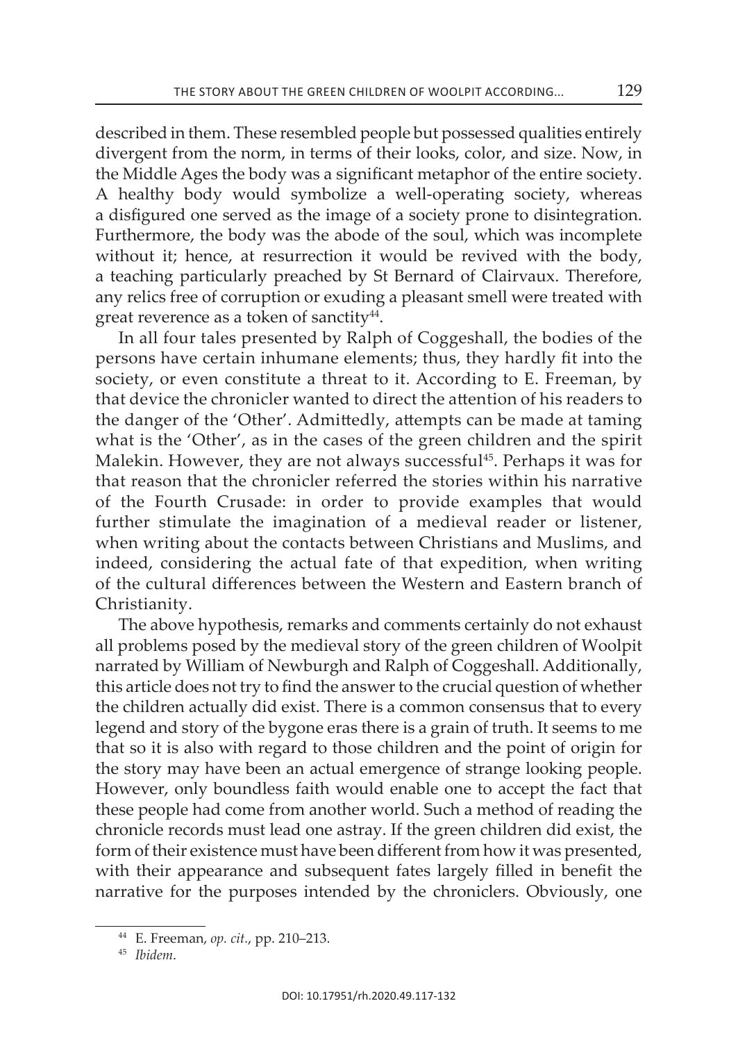described in them. These resembled people but possessed qualities entirely divergent from the norm, in terms of their looks, color, and size. Now, in the Middle Ages the body was a significant metaphor of the entire society. a healthy body would symbolize a well-operating society, whereas a disfigured one served as the image of a society prone to disintegration. Furthermore, the body was the abode of the soul, which was incomplete without it; hence, at resurrection it would be revived with the body, a teaching particularly preached by St Bernard of Clairvaux. Therefore, any relics free of corruption or exuding a pleasant smell were treated with great reverence as a token of sanctity<sup>44</sup>.

In all four tales presented by Ralph of Coggeshall, the bodies of the persons have certain inhumane elements; thus, they hardly fit into the society, or even constitute a threat to it. According to E. Freeman, by that device the chronicler wanted to direct the attention of his readers to the danger of the 'Other'. Admittedly, attempts can be made at taming what is the 'Other', as in the cases of the green children and the spirit Malekin. However, they are not always successful<sup>45</sup>. Perhaps it was for that reason that the chronicler referred the stories within his narrative of the Fourth crusade: in order to provide examples that would further stimulate the imagination of a medieval reader or listener, when writing about the contacts between christians and Muslims, and indeed, considering the actual fate of that expedition, when writing of the cultural differences between the Western and Eastern branch of christianity.

The above hypothesis, remarks and comments certainly do not exhaust all problems posed by the medieval story of the green children of Woolpit narrated by William of Newburgh and Ralph of Coggeshall. Additionally, this article does not try to find the answer to the crucial question of whether the children actually did exist. There is a common consensus that to every legend and story of the bygone eras there is a grain of truth. It seems to me that so it is also with regard to those children and the point of origin for the story may have been an actual emergence of strange looking people. however, only boundless faith would enable one to accept the fact that these people had come from another world. Such a method of reading the chronicle records must lead one astray. if the green children did exist, the form of their existence must have been different from how it was presented, with their appearance and subsequent fates largely filled in benefit the narrative for the purposes intended by the chroniclers. Obviously, one

<sup>44</sup> e. Freeman, *op. cit.*, pp. 210–213.

<sup>45</sup> *Ibidem*.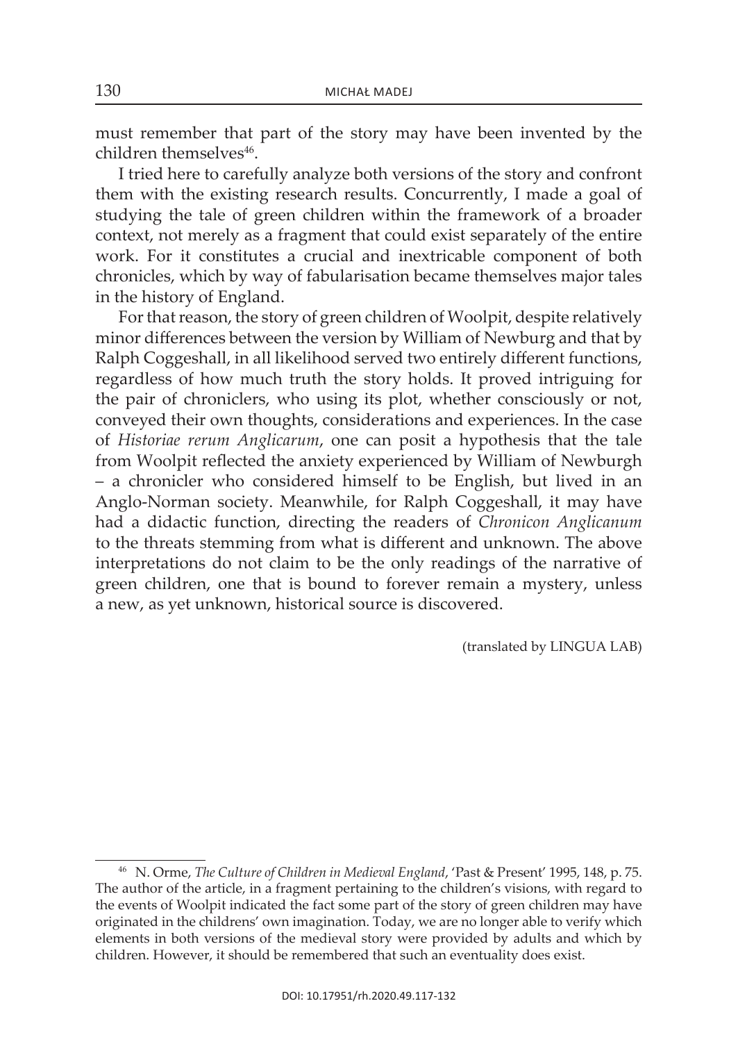must remember that part of the story may have been invented by the children themselves<sup>46</sup>.

I tried here to carefully analyze both versions of the story and confront them with the existing research results. Concurrently, I made a goal of studying the tale of green children within the framework of a broader context, not merely as a fragment that could exist separately of the entire work. For it constitutes a crucial and inextricable component of both chronicles, which by way of fabularisation became themselves major tales in the history of England.

For that reason, the story of green children of Woolpit, despite relatively minor differences between the version by William of Newburg and that by Ralph Coggeshall, in all likelihood served two entirely different functions, regardless of how much truth the story holds. it proved intriguing for the pair of chroniclers, who using its plot, whether consciously or not, conveyed their own thoughts, considerations and experiences. in the case of *Historiae rerum Anglicarum*, one can posit a hypothesis that the tale from Woolpit reflected the anxiety experienced by William of Newburgh – a chronicler who considered himself to be english, but lived in an Anglo-Norman society. Meanwhile, for Ralph Coggeshall, it may have had a didactic function, directing the readers of *Chronicon Anglicanum*  to the threats stemming from what is different and unknown. The above interpretations do not claim to be the only readings of the narrative of green children, one that is bound to forever remain a mystery, unless a new, as yet unknown, historical source is discovered.

(translated by LinGua LaB)

<sup>&</sup>lt;sup>46</sup> N. Orme, *The Culture of Children in Medieval England*, 'Past & Present' 1995, 148, p. 75. the author of the article, in a fragment pertaining to the children's visions, with regard to the events of Woolpit indicated the fact some part of the story of green children may have originated in the childrens' own imagination. today, we are no longer able to verify which elements in both versions of the medieval story were provided by adults and which by children. However, it should be remembered that such an eventuality does exist.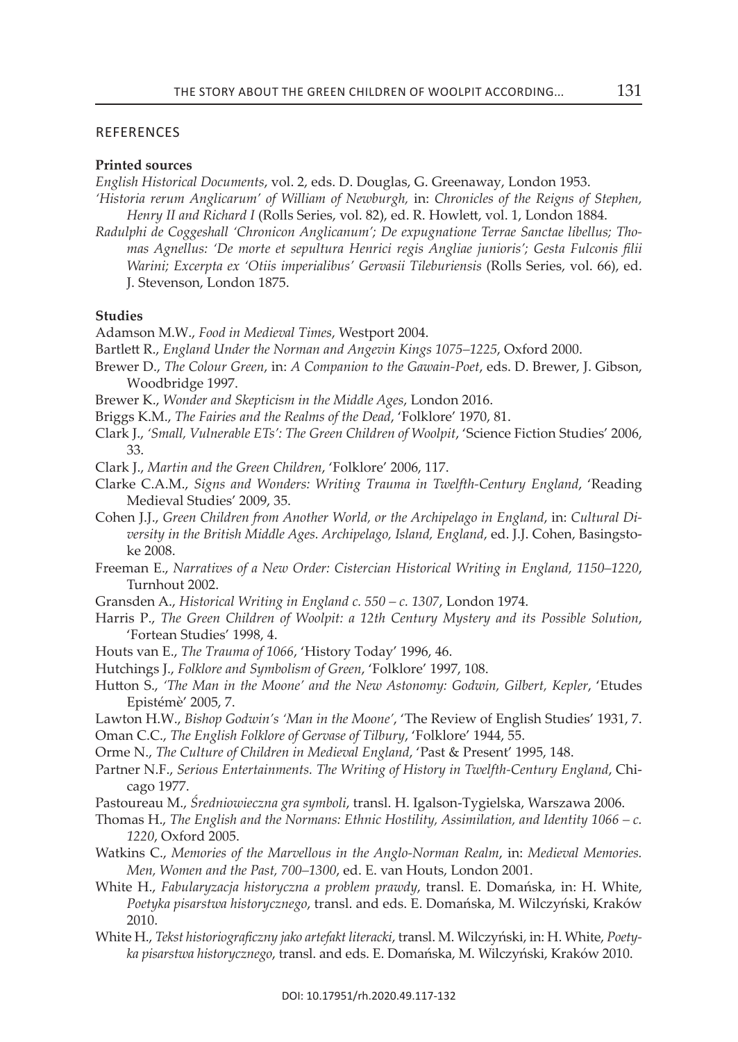#### **REFERENCES**

#### **Printed sources**

*English Historical Documents*, vol. 2, eds. D. Douglas, G. Greenaway, london 1953. *'Historia rerum Anglicarum' of William of Newburgh,* in: *Chronicles of the Reigns of Stephen,* 

*Henry II and Richard I* (Rolls Series, vol. 82), ed. R. Howlett, vol. 1, London 1884. *Radulphi de Coggeshall 'Chronicon Anglicanum'; De expugnatione Terrae Sanctae libellus; Tho-*

*mas Agnellus: 'De morte et sepultura Henrici regis Angliae junioris'; Gesta Fulconis filii Warini; Excerpta ex 'Otiis imperialibus' Gervasii Tileburiensis* (Rolls Series, vol. 66), ed. J. stevenson, london 1875.

#### **studies**

adamson M.W., *Food in Medieval Times*, Westport 2004.

- Bartlett R., *England Under the Norman and Angevin Kings 1075–1225*, Oxford 2000.
- Brewer D., *The Colour Green*, in: *A Companion to the Gawain-Poet*, eds. D. Brewer, J. Gibson, Woodbridge 1997.
- Brewer K., *Wonder and Skepticism in the Middle Ages*, london 2016.
- Briggs K.M., *The Fairies and the Realms of the Dead*, 'Folklore' 1970, 81.
- clark J., *'Small, Vulnerable ETs': The Green Children of Woolpit*, 'science Fiction studies' 2006, 33.
- clark J., *Martin and the Green Children*, 'Folklore' 2006, 117.
- Clarke C.A.M., *Signs and Wonders: Writing Trauma in Twelfth-Century England*, 'Reading Medieval studies' 2009, 35.
- cohen J.J., *Green Children from Another World, or the Archipelago in England*, in: *Cultural Diversity in the British Middle Ages. Archipelago, Island, England*, ed. J.J. cohen, Basingstoke 2008.
- Freeman E., *Narratives of a New Order: Cistercian Historical Writing in England, 1150–1220*, Turnhout 2002.
- Gransden A., *Historical Writing in England c.* 550 c. 1307, London 1974.
- harris P., *The Green Children of Woolpit: a 12th Century Mystery and its Possible Solution*, 'Fortean studies' 1998, 4.
- Houts van E., *The Trauma of 1066*, 'History Today' 1996, 46.
- hutchings J., *Folklore and Symbolism of Green*, 'Folklore' 1997, 108.
- Hutton S., 'The Man in the Moone' and the New Astonomy: Godwin, Gilbert, Kepler, 'Etudes epistémè' 2005, 7.
- Lawton H.W., *Bishop Godwin's 'Man in the Moone'*, 'The Review of English Studies' 1931, 7. oman c.c., *The English Folklore of Gervase of Tilbury*, 'Folklore' 1944, 55.
- Orme N., *The Culture of Children in Medieval England*, 'Past & Present' 1995, 148.
- Partner n.F., *Serious Entertainments. The Writing of History in Twelfth-Century England*, chicago 1977.
- Pastoureau M., *Średniowieczna gra symboli*, transl. h. igalson-tygielska, Warszawa 2006.
- thomas h., *The English and the Normans: Ethnic Hostility, Assimilation, and Identity 1066 c. 1220*, oxford 2005.
- Watkins c., *Memories of the Marvellous in the Anglo-Norman Realm*, in: *Medieval Memories. Men, Women and the Past, 700-1300, ed. E. van Houts, London 2001.*
- White H., *Fabularyzacja historyczna a problem prawdy*, transl. E. Domańska, in: H. White, *Poetyka pisarstwa historycznego*, transl. and eds. e. domańska, M. wilczyński, kraków 2010.
- White h., *Tekst historiograficzny jako artefakt literacki*, transl. M. wilczyński, in: H. white, *Poetyka pisarstwa historycznego*, transl. and eds. e. domańska, M. wilczyński, kraków 2010.